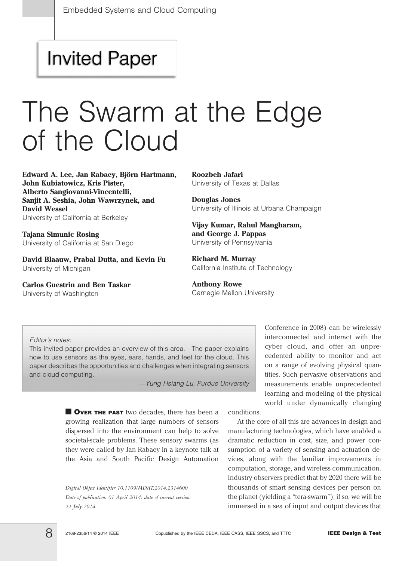# **Invited Paper**

# The Swarm at the Edge of the Cloud

Edward A. Lee, Jan Rabaey, Björn Hartmann, John Kubiatowicz, Kris Pister, Alberto Sangiovanni-Vincentelli, Sanjit A. Seshia, John Wawrzynek, and David Wessel University of California at Berkeley

Tajana Simunic Rosing University of California at San Diego

David Blaauw, Prabal Dutta, and Kevin Fu University of Michigan

Carlos Guestrin and Ben Taskar University of Washington

Roozbeh Jafari University of Texas at Dallas

Douglas Jones University of Illinois at Urbana Champaign

Vijay Kumar, Rahul Mangharam, and George J. Pappas University of Pennsylvania

Richard M. Murray California Institute of Technology

Anthony Rowe Carnegie Mellon University

#### Editor's notes:

This invited paper provides an overview of this area. The paper explains how to use sensors as the eyes, ears, hands, and feet for the cloud. This paper describes the opportunities and challenges when integrating sensors and cloud computing.

-Yung-Hsiang Lu, Purdue University

**OVER THE PAST** two decades, there has been a growing realization that large numbers of sensors dispersed into the environment can help to solve societal-scale problems. These sensory swarms (as they were called by Jan Rabaey in a keynote talk at the Asia and South Pacific Design Automation

Digital Object Identifier 10.1109/MDAT.2014.2314600 Date of publication: 01 April 2014; date of current version: 22 July 2014.

Conference in 2008) can be wirelessly interconnected and interact with the cyber cloud, and offer an unprecedented ability to monitor and act on a range of evolving physical quantities. Such pervasive observations and measurements enable unprecedented learning and modeling of the physical world under dynamically changing

conditions.

At the core of all this are advances in design and manufacturing technologies, which have enabled a dramatic reduction in cost, size, and power consumption of a variety of sensing and actuation devices, along with the familiar improvements in computation, storage, and wireless communication. Industry observers predict that by 2020 there will be thousands of smart sensing devices per person on the planet (yielding a ''tera-swarm''); if so, we will be immersed in a sea of input and output devices that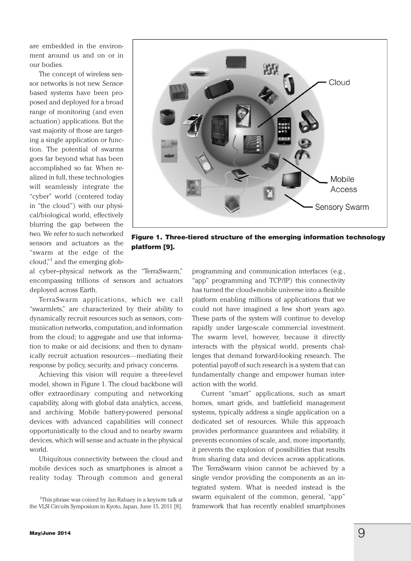are embedded in the environment around us and on or in our bodies.

The concept of wireless sensor networks is not new. Sensorbased systems have been proposed and deployed for a broad range of monitoring (and even actuation) applications. But the vast majority of those are targeting a single application or function. The potential of swarms goes far beyond what has been accomplished so far. When realized in full, these technologies will seamlessly integrate the "cyber" world (centered today in "the cloud") with our physical/biological world, effectively blurring the gap between the two. We refer to such networked sensors and actuators as the ''swarm at the edge of the cloud," $<sup>1</sup>$  and the emerging glob-</sup>



Figure 1. Three-tiered structure of the emerging information technology platform [9].

al cyber–physical network as the ''TerraSwarm,'' encompassing trillions of sensors and actuators deployed across Earth.

TerraSwarm applications, which we call "swarmlets," are characterized by their ability to dynamically recruit resources such as sensors, communication networks, computation, and information from the cloud; to aggregate and use that information to make or aid decisions; and then to dynamically recruit actuation resources—mediating their response by policy, security, and privacy concerns.

Achieving this vision will require a three-level model, shown in Figure 1. The cloud backbone will offer extraordinary computing and networking capability, along with global data analytics, access, and archiving. Mobile battery-powered personal devices with advanced capabilities will connect opportunistically to the cloud and to nearby swarm devices, which will sense and actuate in the physical world.

Ubiquitous connectivity between the cloud and mobile devices such as smartphones is almost a reality today. Through common and general

<sup>1</sup>This phrase was coined by Jan Rabaey in a keynote talk at the VLSI Circuits Symposium in Kyoto, Japan, June 15, 2011 [8]. programming and communication interfaces (e.g., "app" programming and TCP/IP) this connectivity has turned the cloud+mobile universe into a flexible platform enabling millions of applications that we could not have imagined a few short years ago. These parts of the system will continue to develop rapidly under large-scale commercial investment. The swarm level, however, because it directly interacts with the physical world, presents challenges that demand forward-looking research. The potential payoff of such research is a system that can fundamentally change and empower human interaction with the world.

Current ''smart'' applications, such as smart homes, smart grids, and battlefield management systems, typically address a single application on a dedicated set of resources. While this approach provides performance guarantees and reliability, it prevents economies of scale, and, more importantly, it prevents the explosion of possibilities that results from sharing data and devices across applications. The TerraSwarm vision cannot be achieved by a single vendor providing the components as an integrated system. What is needed instead is the swarm equivalent of the common, general, "app" framework that has recently enabled smartphones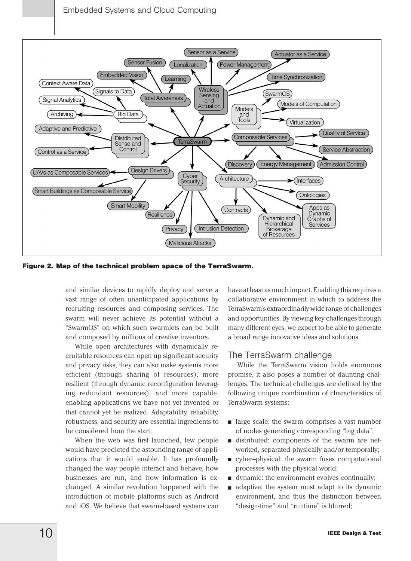

Figure 2. Map of the technical problem space of the TerraSwarm.

and similar devices to rapidly deploy and serve a vast range of often unanticipated applications by recruiting resources and composing services. The swarm will never achieve its potential without a ''SwarmOS'' on which such swarmlets can be built and composed by millions of creative inventors.

While open architectures with dynamically recruitable resources can open up significant security and privacy risks, they can also make systems more efficient (through sharing of resources), more resilient (through dynamic reconfiguration leveraging redundant resources), and more capable, enabling applications we have not yet invented or that cannot yet be realized. Adaptability, reliability, robustness, and security are essential ingredients to be considered from the start.

When the web was first launched, few people would have predicted the astounding range of applications that it would enable. It has profoundly changed the way people interact and behave, how businesses are run, and how information is exchanged. A similar revolution happened with the introduction of mobile platforms such as Android and iOS. We believe that swarm-based systems can

have at least as much impact. Enabling this requires a collaborative environment in which to address the TerraSwarm's extraordinarily wide range of challenges and opportunities. By viewing key challenges through many different eyes, we expect to be able to generate a broad range innovative ideas and solutions.

#### The TerraSwarm challenge

While the TerraSwarm vision holds enormous promise, it also poses a number of daunting challenges. The technical challenges are defined by the following unique combination of characteristics of TerraSwarm systems:

- $\blacksquare$  large scale: the swarm comprises a vast number of nodes generating corresponding ''big data'';
- h distributed: components of the swarm are networked, separated physically and/or temporally;
- $\Box$  cyber–physical: the swarm fuses computational processes with the physical world;
- dynamic: the environment evolves continually;
- adaptive: the system must adapt to its dynamic environment, and thus the distinction between "design-time" and "runtime" is blurred;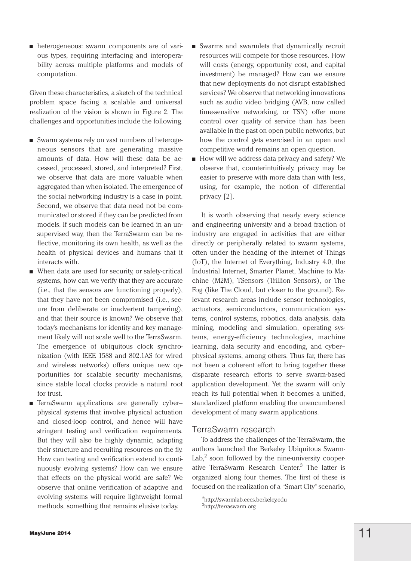**h** heterogeneous: swarm components are of various types, requiring interfacing and interoperability across multiple platforms and models of computation.

Given these characteristics, a sketch of the technical problem space facing a scalable and universal realization of the vision is shown in Figure 2. The challenges and opportunities include the following.

- $\blacksquare$  Swarm systems rely on vast numbers of heterogeneous sensors that are generating massive amounts of data. How will these data be accessed, processed, stored, and interpreted? First, we observe that data are more valuable when aggregated than when isolated. The emergence of the social networking industry is a case in point. Second, we observe that data need not be communicated or stored if they can be predicted from models. If such models can be learned in an unsupervised way, then the TerraSwarm can be reflective, monitoring its own health, as well as the health of physical devices and humans that it interacts with.
- $\blacksquare$  When data are used for security, or safety-critical systems, how can we verify that they are accurate (i.e., that the sensors are functioning properly), that they have not been compromised (i.e., secure from deliberate or inadvertent tampering), and that their source is known? We observe that today's mechanisms for identity and key management likely will not scale well to the TerraSwarm. The emergence of ubiquitous clock synchronization (with IEEE 1588 and 802.1AS for wired and wireless networks) offers unique new opportunities for scalable security mechanisms, since stable local clocks provide a natural root for trust.
- **FerraSwarm applications are generally cyber–** physical systems that involve physical actuation and closed-loop control, and hence will have stringent testing and verification requirements. But they will also be highly dynamic, adapting their structure and recruiting resources on the fly. How can testing and verification extend to continuously evolving systems? How can we ensure that effects on the physical world are safe? We observe that online verification of adaptive and evolving systems will require lightweight formal methods, something that remains elusive today.
- $\blacksquare$  Swarms and swarmlets that dynamically recruit resources will compete for those resources. How will costs (energy, opportunity cost, and capital investment) be managed? How can we ensure that new deployments do not disrupt established services? We observe that networking innovations such as audio video bridging (AVB, now called time-sensitive networking, or TSN) offer more control over quality of service than has been available in the past on open public networks, but how the control gets exercised in an open and competitive world remains an open question.
- $\blacksquare$  How will we address data privacy and safety? We observe that, counterintuitively, privacy may be easier to preserve with more data than with less, using, for example, the notion of differential privacy [2].

It is worth observing that nearly every science and engineering university and a broad fraction of industry are engaged in activities that are either directly or peripherally related to swarm systems, often under the heading of the Internet of Things (IoT), the Internet of Everything, Industry 4.0, the Industrial Internet, Smarter Planet, Machine to Machine (M2M), TSensors (Trillion Sensors), or The Fog (like The Cloud, but closer to the ground). Relevant research areas include sensor technologies, actuators, semiconductors, communication systems, control systems, robotics, data analysis, data mining, modeling and simulation, operating systems, energy-efficiency technologies, machine learning, data security and encoding, and cyber– physical systems, among others. Thus far, there has not been a coherent effort to bring together these disparate research efforts to serve swarm-based application development. Yet the swarm will only reach its full potential when it becomes a unified, standardized platform enabling the unencumbered development of many swarm applications.

#### TerraSwarm research

To address the challenges of the TerraSwarm, the authors launched the Berkeley Ubiquitous Swarm- $Lab<sup>2</sup>$  soon followed by the nine-university cooperative TerraSwarm Research Center.<sup>3</sup> The latter is organized along four themes. The first of these is focused on the realization of a ''Smart City'' scenario,

<sup>2</sup> http://swarmlab.eecs.berkeley.edu 3 http://terraswarm.org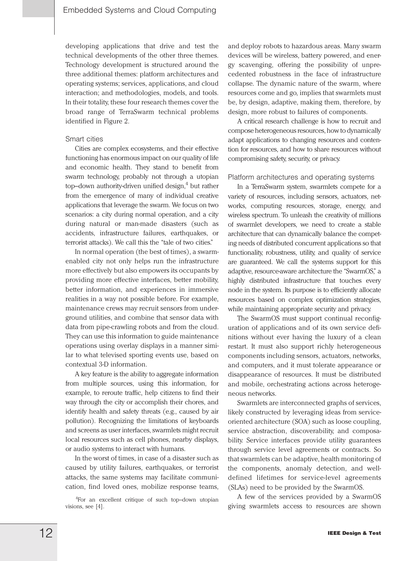developing applications that drive and test the technical developments of the other three themes. Technology development is structured around the three additional themes: platform architectures and operating systems; services, applications, and cloud interaction; and methodologies, models, and tools. In their totality, these four research themes cover the broad range of TerraSwarm technical problems identified in Figure 2.

#### Smart cities

Cities are complex ecosystems, and their effective functioning has enormous impact on our quality of life and economic health. They stand to benefit from swarm technology, probably not through a utopian top–down authority-driven unified design, $4$  but rather from the emergence of many of individual creative applications that leverage the swarm. We focus on two scenarios: a city during normal operation, and a city during natural or man-made disasters (such as accidents, infrastructure failures, earthquakes, or terrorist attacks). We call this the ''tale of two cities.''

In normal operation (the best of times), a swarmenabled city not only helps run the infrastructure more effectively but also empowers its occupants by providing more effective interfaces, better mobility, better information, and experiences in immersive realities in a way not possible before. For example, maintenance crews may recruit sensors from underground utilities, and combine that sensor data with data from pipe-crawling robots and from the cloud. They can use this information to guide maintenance operations using overlay displays in a manner similar to what televised sporting events use, based on contextual 3-D information.

A key feature is the ability to aggregate information from multiple sources, using this information, for example, to reroute traffic, help citizens to find their way through the city or accomplish their chores, and identify health and safety threats (e.g., caused by air pollution). Recognizing the limitations of keyboards and screens as user interfaces, swarmlets might recruit local resources such as cell phones, nearby displays, or audio systems to interact with humans.

In the worst of times, in case of a disaster such as caused by utility failures, earthquakes, or terrorist attacks, the same systems may facilitate communication, find loved ones, mobilize response teams,

4 For an excellent critique of such top–down utopian visions, see [4].

and deploy robots to hazardous areas. Many swarm devices will be wireless, battery powered, and energy scavenging, offering the possibility of unprecedented robustness in the face of infrastructure collapse. The dynamic nature of the swarm, where resources come and go, implies that swarmlets must be, by design, adaptive, making them, therefore, by design, more robust to failures of components.

A critical research challenge is how to recruit and compose heterogeneous resources, how to dynamically adapt applications to changing resources and contention for resources, and how to share resources without compromising safety, security, or privacy.

#### Platform architectures and operating systems

In a TerraSwarm system, swarmlets compete for a variety of resources, including sensors, actuators, networks, computing resources, storage, energy, and wireless spectrum. To unleash the creativity of millions of swarmlet developers, we need to create a stable architecture that can dynamically balance the competing needs of distributed concurrent applications so that functionality, robustness, utility, and quality of service are guaranteed. We call the systems support for this adaptive, resource-aware architecture the "SwarmOS," a highly distributed infrastructure that touches every node in the system. Its purpose is to efficiently allocate resources based on complex optimization strategies, while maintaining appropriate security and privacy.

The SwarmOS must support continual reconfiguration of applications and of its own service definitions without ever having the luxury of a clean restart. It must also support richly heterogeneous components including sensors, actuators, networks, and computers, and it must tolerate appearance or disappearance of resources. It must be distributed and mobile, orchestrating actions across heterogeneous networks.

Swarmlets are interconnected graphs of services, likely constructed by leveraging ideas from serviceoriented architecture (SOA) such as loose coupling, service abstraction, discoverability, and composability. Service interfaces provide utility guarantees through service level agreements or contracts. So that swarmlets can be adaptive, health monitoring of the components, anomaly detection, and welldefined lifetimes for service-level agreements (SLAs) need to be provided by the SwarmOS.

A few of the services provided by a SwarmOS giving swarmlets access to resources are shown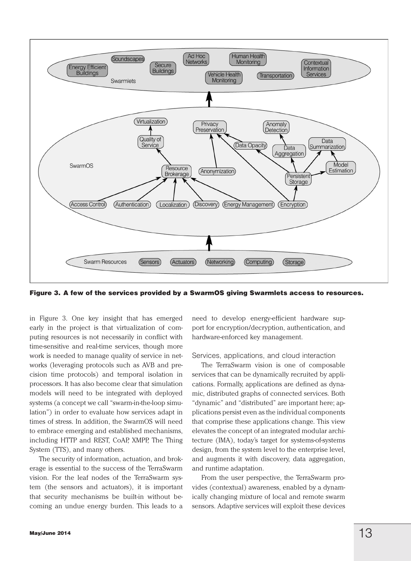

Figure 3. A few of the services provided by a SwarmOS giving Swarmlets access to resources.

in Figure 3. One key insight that has emerged early in the project is that virtualization of computing resources is not necessarily in conflict with time-sensitive and real-time services, though more work is needed to manage quality of service in networks (leveraging protocols such as AVB and precision time protocols) and temporal isolation in processors. It has also become clear that simulation models will need to be integrated with deployed systems (a concept we call ''swarm-in-the-loop simulation'') in order to evaluate how services adapt in times of stress. In addition, the SwarmOS will need to embrace emerging and established mechanisms, including HTTP and REST, CoAP, XMPP, The Thing System (TTS), and many others.

The security of information, actuation, and brokerage is essential to the success of the TerraSwarm vision. For the leaf nodes of the TerraSwarm system (the sensors and actuators), it is important that security mechanisms be built-in without becoming an undue energy burden. This leads to a

need to develop energy-efficient hardware support for encryption/decryption, authentication, and hardware-enforced key management.

Services, applications, and cloud interaction

The TerraSwarm vision is one of composable services that can be dynamically recruited by applications. Formally, applications are defined as dynamic, distributed graphs of connected services. Both "dynamic" and "distributed" are important here; applications persist even as the individual components that comprise these applications change. This view elevates the concept of an integrated modular architecture (IMA), today's target for systems-of-systems design, from the system level to the enterprise level, and augments it with discovery, data aggregation, and runtime adaptation.

From the user perspective, the TerraSwarm provides (contextual) awareness, enabled by a dynamically changing mixture of local and remote swarm sensors. Adaptive services will exploit these devices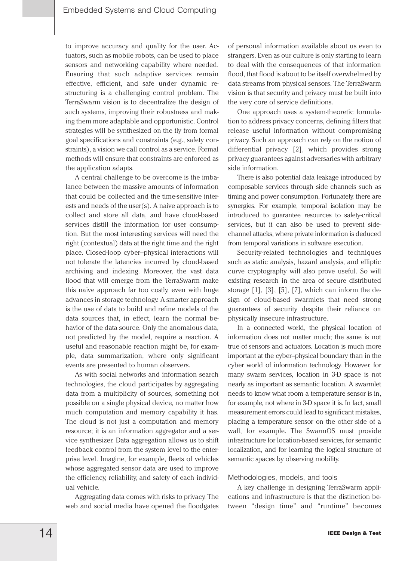to improve accuracy and quality for the user. Actuators, such as mobile robots, can be used to place sensors and networking capability where needed. Ensuring that such adaptive services remain effective, efficient, and safe under dynamic restructuring is a challenging control problem. The TerraSwarm vision is to decentralize the design of such systems, improving their robustness and making them more adaptable and opportunistic. Control strategies will be synthesized on the fly from formal goal specifications and constraints (e.g., safety constraints), a vision we call control as a service. Formal methods will ensure that constraints are enforced as the application adapts.

A central challenge to be overcome is the imbalance between the massive amounts of information that could be collected and the time-sensitive interests and needs of the user(s). A naive approach is to collect and store all data, and have cloud-based services distill the information for user consumption. But the most interesting services will need the right (contextual) data at the right time and the right place. Closed-loop cyber–physical interactions will not tolerate the latencies incurred by cloud-based archiving and indexing. Moreover, the vast data flood that will emerge from the TerraSwarm make this naive approach far too costly, even with huge advances in storage technology. A smarter approach is the use of data to build and refine models of the data sources that, in effect, learn the normal behavior of the data source. Only the anomalous data, not predicted by the model, require a reaction. A useful and reasonable reaction might be, for example, data summarization, where only significant events are presented to human observers.

As with social networks and information search technologies, the cloud participates by aggregating data from a multiplicity of sources, something not possible on a single physical device, no matter how much computation and memory capability it has. The cloud is not just a computation and memory resource; it is an information aggregator and a service synthesizer. Data aggregation allows us to shift feedback control from the system level to the enterprise level. Imagine, for example, fleets of vehicles whose aggregated sensor data are used to improve the efficiency, reliability, and safety of each individual vehicle.

Aggregating data comes with risks to privacy. The web and social media have opened the floodgates

of personal information available about us even to strangers. Even as our culture is only starting to learn to deal with the consequences of that information flood, that flood is about to be itself overwhelmed by data streams from physical sensors. The TerraSwarm vision is that security and privacy must be built into the very core of service definitions.

One approach uses a system-theoretic formulation to address privacy concerns, defining filters that release useful information without compromising privacy. Such an approach can rely on the notion of differential privacy [2], which provides strong privacy guarantees against adversaries with arbitrary side information.

There is also potential data leakage introduced by composable services through side channels such as timing and power consumption. Fortunately, there are synergies. For example, temporal isolation may be introduced to guarantee resources to safety-critical services, but it can also be used to prevent sidechannel attacks, where private information is deduced from temporal variations in software execution.

Security-related technologies and techniques such as static analysis, hazard analysis, and elliptic curve cryptography will also prove useful. So will existing research in the area of secure distributed storage [1], [3], [5], [7], which can inform the design of cloud-based swarmlets that need strong guarantees of security despite their reliance on physically insecure infrastructure.

In a connected world, the physical location of information does not matter much; the same is not true of sensors and actuators. Location is much more important at the cyber–physical boundary than in the cyber world of information technology. However, for many swarm services, location in 3-D space is not nearly as important as semantic location. A swarmlet needs to know what room a temperature sensor is in, for example, not where in 3-D space it is. In fact, small measurement errors could lead to significant mistakes, placing a temperature sensor on the other side of a wall, for example. The SwarmOS must provide infrastructure for location-based services, for semantic localization, and for learning the logical structure of semantic spaces by observing mobility.

#### Methodologies, models, and tools

A key challenge in designing TerraSwarm applications and infrastructure is that the distinction between "design time" and "runtime" becomes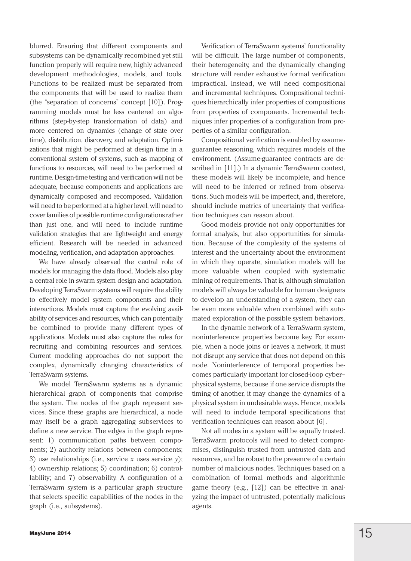blurred. Ensuring that different components and subsystems can be dynamically recombined yet still function properly will require new, highly advanced development methodologies, models, and tools. Functions to be realized must be separated from the components that will be used to realize them (the "separation of concerns" concept [10]). Programming models must be less centered on algorithms (step-by-step transformation of data) and more centered on dynamics (change of state over time), distribution, discovery, and adaptation. Optimizations that might be performed at design time in a conventional system of systems, such as mapping of functions to resources, will need to be performed at runtime. Design-time testing and verification will not be adequate, because components and applications are dynamically composed and recomposed. Validation will need to be performed at a higher level, will need to cover families of possible runtime configurations rather than just one, and will need to include runtime validation strategies that are lightweight and energy efficient. Research will be needed in advanced modeling, verification, and adaptation approaches.

We have already observed the central role of models for managing the data flood. Models also play a central role in swarm system design and adaptation. Developing TerraSwarm systems will require the ability to effectively model system components and their interactions. Models must capture the evolving availability of services and resources, which can potentially be combined to provide many different types of applications. Models must also capture the rules for recruiting and combining resources and services. Current modeling approaches do not support the complex, dynamically changing characteristics of TerraSwarm systems.

We model TerraSwarm systems as a dynamic hierarchical graph of components that comprise the system. The nodes of the graph represent services. Since these graphs are hierarchical, a node may itself be a graph aggregating subservices to define a new service. The edges in the graph represent: 1) communication paths between components; 2) authority relations between components; 3) use relationships (i.e., service  $x$  uses service  $y$ ); 4) ownership relations; 5) coordination; 6) controllability; and 7) observability. A configuration of a TerraSwarm system is a particular graph structure that selects specific capabilities of the nodes in the graph (i.e., subsystems).

Verification of TerraSwarm systems' functionality will be difficult. The large number of components, their heterogeneity, and the dynamically changing structure will render exhaustive formal verification impractical. Instead, we will need compositional and incremental techniques. Compositional techniques hierarchically infer properties of compositions from properties of components. Incremental techniques infer properties of a configuration from properties of a similar configuration.

Compositional verification is enabled by assumeguarantee reasoning, which requires models of the environment. (Assume-guarantee contracts are described in [11].) In a dynamic TerraSwarm context, these models will likely be incomplete, and hence will need to be inferred or refined from observations. Such models will be imperfect, and, therefore, should include metrics of uncertainty that verification techniques can reason about.

Good models provide not only opportunities for formal analysis, but also opportunities for simulation. Because of the complexity of the systems of interest and the uncertainty about the environment in which they operate, simulation models will be more valuable when coupled with systematic mining of requirements. That is, although simulation models will always be valuable for human designers to develop an understanding of a system, they can be even more valuable when combined with automated exploration of the possible system behaviors.

In the dynamic network of a TerraSwarm system, noninterference properties become key. For example, when a node joins or leaves a network, it must not disrupt any service that does not depend on this node. Noninterference of temporal properties becomes particularly important for closed-loop cyber– physical systems, because if one service disrupts the timing of another, it may change the dynamics of a physical system in undesirable ways. Hence, models will need to include temporal specifications that verification techniques can reason about [6].

Not all nodes in a system will be equally trusted. TerraSwarm protocols will need to detect compromises, distinguish trusted from untrusted data and resources, and be robust to the presence of a certain number of malicious nodes. Techniques based on a combination of formal methods and algorithmic game theory (e.g., [12]) can be effective in analyzing the impact of untrusted, potentially malicious agents.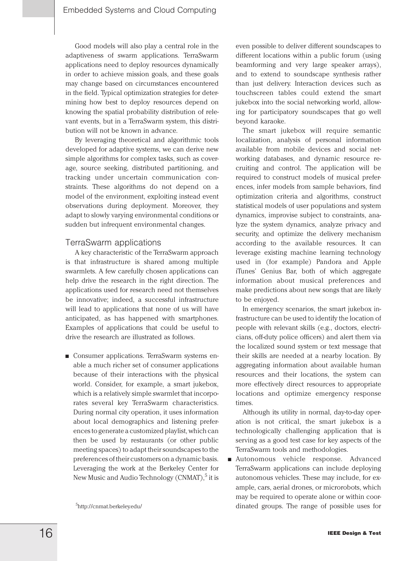Good models will also play a central role in the adaptiveness of swarm applications. TerraSwarm applications need to deploy resources dynamically in order to achieve mission goals, and these goals may change based on circumstances encountered in the field. Typical optimization strategies for determining how best to deploy resources depend on knowing the spatial probability distribution of relevant events, but in a TerraSwarm system, this distribution will not be known in advance.

By leveraging theoretical and algorithmic tools developed for adaptive systems, we can derive new simple algorithms for complex tasks, such as coverage, source seeking, distributed partitioning, and tracking under uncertain communication constraints. These algorithms do not depend on a model of the environment, exploiting instead event observations during deployment. Moreover, they adapt to slowly varying environmental conditions or sudden but infrequent environmental changes.

### TerraSwarm applications

A key characteristic of the TerraSwarm approach is that infrastructure is shared among multiple swarmlets. A few carefully chosen applications can help drive the research in the right direction. The applications used for research need not themselves be innovative; indeed, a successful infrastructure will lead to applications that none of us will have anticipated, as has happened with smartphones. Examples of applications that could be useful to drive the research are illustrated as follows.

■ Consumer applications. TerraSwarm systems enable a much richer set of consumer applications because of their interactions with the physical world. Consider, for example, a smart jukebox, which is a relatively simple swarmlet that incorporates several key TerraSwarm characteristics. During normal city operation, it uses information about local demographics and listening preferences to generate a customized playlist, which can then be used by restaurants (or other public meeting spaces) to adapt their soundscapes to the preferences of their customers on a dynamic basis. Leveraging the work at the Berkeley Center for New Music and Audio Technology (CNMAT), $5$  it is

http://cnmat.berkeley.edu/

even possible to deliver different soundscapes to different locations within a public forum (using beamforming and very large speaker arrays), and to extend to soundscape synthesis rather than just delivery. Interaction devices such as touchscreen tables could extend the smart jukebox into the social networking world, allowing for participatory soundscapes that go well beyond karaoke.

The smart jukebox will require semantic localization, analysis of personal information available from mobile devices and social networking databases, and dynamic resource recruiting and control. The application will be required to construct models of musical preferences, infer models from sample behaviors, find optimization criteria and algorithms, construct statistical models of user populations and system dynamics, improvise subject to constraints, analyze the system dynamics, analyze privacy and security, and optimize the delivery mechanism according to the available resources. It can leverage existing machine learning technology used in (for example) Pandora and Apple iTunes' Genius Bar, both of which aggregate information about musical preferences and make predictions about new songs that are likely to be enjoyed.

In emergency scenarios, the smart jukebox infrastructure can be used to identify the location of people with relevant skills (e.g., doctors, electricians, off-duty police officers) and alert them via the localized sound system or text message that their skills are needed at a nearby location. By aggregating information about available human resources and their locations, the system can more effectively direct resources to appropriate locations and optimize emergency response times.

Although its utility in normal, day-to-day operation is not critical, the smart jukebox is a technologically challenging application that is serving as a good test case for key aspects of the TerraSwarm tools and methodologies.

 $\blacksquare$  Autonomous vehicle response. Advanced TerraSwarm applications can include deploying autonomous vehicles. These may include, for example, cars, aerial drones, or microrobots, which may be required to operate alone or within coordinated groups. The range of possible uses for <sup>5</sup>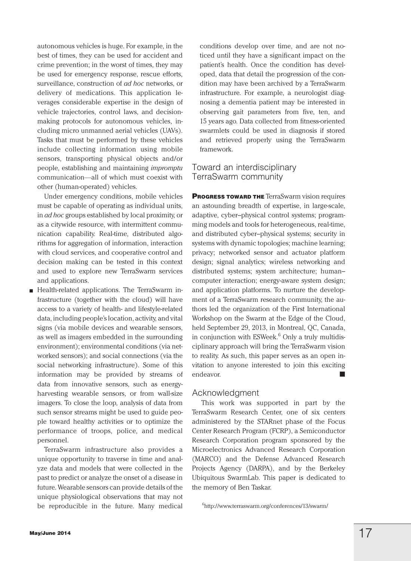autonomous vehicles is huge. For example, in the best of times, they can be used for accident and crime prevention; in the worst of times, they may be used for emergency response, rescue efforts, surveillance, construction of ad hoc networks, or delivery of medications. This application leverages considerable expertise in the design of vehicle trajectories, control laws, and decisionmaking protocols for autonomous vehicles, including micro unmanned aerial vehicles (UAVs). Tasks that must be performed by these vehicles include collecting information using mobile sensors, transporting physical objects and/or people, establishing and maintaining impromptu communication—all of which must coexist with other (human-operated) vehicles.

Under emergency conditions, mobile vehicles must be capable of operating as individual units, in ad hoc groups established by local proximity, or as a citywide resource, with intermittent communication capability. Real-time, distributed algorithms for aggregation of information, interaction with cloud services, and cooperative control and decision making can be tested in this context and used to explore new TerraSwarm services and applications.

**Health-related applications. The TerraSwarm in**frastructure (together with the cloud) will have access to a variety of health- and lifestyle-related data, including people's location, activity, and vital signs (via mobile devices and wearable sensors, as well as imagers embedded in the surrounding environment); environmental conditions (via networked sensors); and social connections (via the social networking infrastructure). Some of this information may be provided by streams of data from innovative sensors, such as energyharvesting wearable sensors, or from wall-size imagers. To close the loop, analysis of data from such sensor streams might be used to guide people toward healthy activities or to optimize the performance of troops, police, and medical personnel.

TerraSwarm infrastructure also provides a unique opportunity to traverse in time and analyze data and models that were collected in the past to predict or analyze the onset of a disease in future. Wearable sensors can provide details of the unique physiological observations that may not be reproducible in the future. Many medical

conditions develop over time, and are not noticed until they have a significant impact on the patient's health. Once the condition has developed, data that detail the progression of the condition may have been archived by a TerraSwarm infrastructure. For example, a neurologist diagnosing a dementia patient may be interested in observing gait parameters from five, ten, and 15 years ago. Data collected from fitness-oriented swarmlets could be used in diagnosis if stored and retrieved properly using the TerraSwarm framework.

# Toward an interdisciplinary TerraSwarm community

PROGRESS TOWARD THE TerraSwarm vision requires an astounding breadth of expertise, in large-scale, adaptive, cyber–physical control systems; programming models and tools for heterogeneous, real-time, and distributed cyber–physical systems; security in systems with dynamic topologies; machine learning; privacy; networked sensor and actuator platform design; signal analytics; wireless networking and distributed systems; system architecture; human– computer interaction; energy-aware system design; and application platforms. To nurture the development of a TerraSwarm research community, the authors led the organization of the First International Workshop on the Swarm at the Edge of the Cloud, held September 29, 2013, in Montreal, QC, Canada, in conjunction with  $ESWeek<sup>6</sup>$  Only a truly multidisciplinary approach will bring the TerraSwarm vision to reality. As such, this paper serves as an open invitation to anyone interested to join this exciting endeavor.

## Acknowledgment

This work was supported in part by the TerraSwarm Research Center, one of six centers administered by the STARnet phase of the Focus Center Research Program (FCRP), a Semiconductor Research Corporation program sponsored by the Microelectronics Advanced Research Corporation (MARCO) and the Defense Advanced Research Projects Agency (DARPA), and by the Berkeley Ubiquitous SwarmLab. This paper is dedicated to the memory of Ben Taskar.

6 http://www.terraswarm.org/conferences/13/swarm/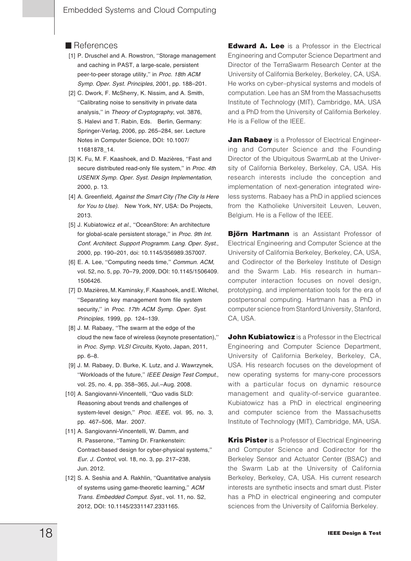$\blacksquare$  References

- [1] P. Druschel and A. Rowstron, "Storage management and caching in PAST, a large-scale, persistent peer-to-peer storage utility,'' in Proc. 18th ACM Symp. Oper. Syst. Principles, 2001, pp. 188–201.
- [2] C. Dwork, F. McSherry, K. Nissim, and A. Smith, ''Calibrating noise to sensitivity in private data analysis," in Theory of Cryptography, vol. 3876, S. Halevi and T. Rabin, Eds. Berlin, Germany: Springer-Verlag, 2006, pp. 265–284, ser. Lecture Notes in Computer Science, DOI: 10.1007/ 11681878\_14.
- [3] K. Fu, M. F. Kaashoek, and D. Mazières, "Fast and secure distributed read-only file system," in Proc. 4th USENIX Symp. Oper. Syst. Design Implementation, 2000, p. 13.
- [4] A. Greenfield, Against the Smart City (The City Is Here for You to Use). New York, NY, USA: Do Projects, 2013.
- [5] J. Kubiatowicz et al., "OceanStore: An architecture for global-scale persistent storage," in Proc. 9th Int. Conf. Architect. Support Programm. Lang. Oper. Syst., 2000, pp. 190–201, doi: 10.1145/356989.357007.
- [6] E. A. Lee, "Computing needs time," Commun. ACM, vol. 52, no. 5, pp. 70–79, 2009, DOI: 10.1145/1506409. 1506426.
- [7] D. Mazières, M. Kaminsky, F. Kaashoek, and E. Witchel, ''Separating key management from file system security," in Proc. 17th ACM Symp. Oper. Syst. Principles, 1999, pp. 124–139.
- [8] J. M. Rabaey, "The swarm at the edge of the cloud the new face of wireless (keynote presentation),'' in Proc. Symp. VLSI Circuits, Kyoto, Japan, 2011, pp. 6–8.
- [9] J. M. Rabaey, D. Burke, K. Lutz, and J. Wawrzynek, ''Workloads of the future,'' IEEE Design Test Comput., vol. 25, no. 4, pp. 358–365, Jul.–Aug. 2008.
- [10] A. Sangiovanni-Vincentelli, "Quo vadis SLD: Reasoning about trends and challenges of system-level design," Proc. IEEE, vol. 95, no. 3, pp. 467–506, Mar. 2007.
- [11] A. Sangiovanni-Vincentelli, W. Damm, and R. Passerone, ''Taming Dr. Frankenstein: Contract-based design for cyber-physical systems,'' Eur. J. Control, vol. 18, no. 3, pp. 217–238, Jun. 2012.
- [12] S. A. Seshia and A. Rakhlin, "Quantitative analysis of systems using game-theoretic learning,'' ACM Trans. Embedded Comput. Syst., vol. 11, no. S2, 2012, DOI: 10.1145/2331147.2331165.

**Edward A. Lee** is a Professor in the Electrical Engineering and Computer Science Department and Director of the TerraSwarm Research Center at the University of California Berkeley, Berkeley, CA, USA. He works on cyber–physical systems and models of computation. Lee has an SM from the Massachusetts Institute of Technology (MIT), Cambridge, MA, USA and a PhD from the University of California Berkeley. He is a Fellow of the IEEE.

Jan Rabaey is a Professor of Electrical Engineering and Computer Science and the Founding Director of the Ubiquitous SwarmLab at the University of California Berkeley, Berkeley, CA, USA. His research interests include the conception and implementation of next-generation integrated wireless systems. Rabaey has a PhD in applied sciences from the Katholieke Universiteit Leuven, Leuven, Belgium. He is a Fellow of the IEEE.

Björn Hartmann is an Assistant Professor of Electrical Engineering and Computer Science at the University of California Berkeley, Berkeley, CA, USA, and Codirector of the Berkeley Institute of Design and the Swarm Lab. His research in human– computer interaction focuses on novel design, prototyping, and implementation tools for the era of postpersonal computing. Hartmann has a PhD in computer science from Stanford University, Stanford, CA, USA.

**John Kubiatowicz** is a Professor in the Electrical Engineering and Computer Science Department, University of California Berkeley, Berkeley, CA, USA. His research focuses on the development of new operating systems for many-core processors with a particular focus on dynamic resource management and quality-of-service guarantee. Kubiatowicz has a PhD in electrical engineering and computer science from the Massachusetts Institute of Technology (MIT), Cambridge, MA, USA.

**Kris Pister** is a Professor of Electrical Engineering and Computer Science and Codirector for the Berkeley Sensor and Actuator Center (BSAC) and the Swarm Lab at the University of California Berkeley, Berkeley, CA, USA. His current research interests are synthetic insects and smart dust. Pister has a PhD in electrical engineering and computer sciences from the University of California Berkeley.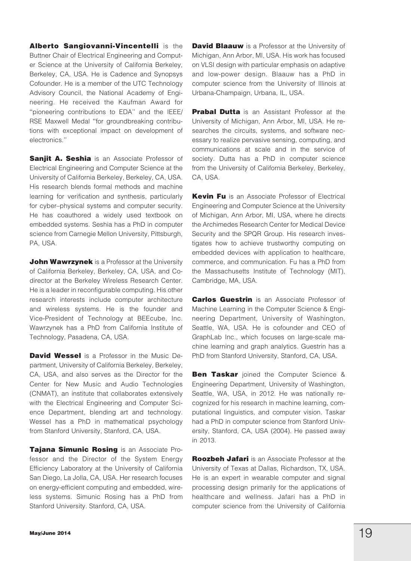Alberto Sangiovanni-Vincentelli is the Buttner Chair of Electrical Engineering and Computer Science at the University of California Berkeley, Berkeley, CA, USA. He is Cadence and Synopsys Cofounder. He is a member of the UTC Technology Advisory Council, the National Academy of Engineering. He received the Kaufman Award for ''pioneering contributions to EDA'' and the IEEE/ RSE Maxwell Medal ''for groundbreaking contributions with exceptional impact on development of electronics.''

**Sanjit A. Seshia** is an Associate Professor of Electrical Engineering and Computer Science at the University of California Berkeley, Berkeley, CA, USA. His research blends formal methods and machine learning for verification and synthesis, particularly for cyber–physical systems and computer security. He has coauthored a widely used textbook on embedded systems. Seshia has a PhD in computer science from Carnegie Mellon University, Pittsburgh, PA, USA.

**John Wawrzynek** is a Professor at the University of California Berkeley, Berkeley, CA, USA, and Codirector at the Berkeley Wireless Research Center. He is a leader in reconfigurable computing. His other research interests include computer architecture and wireless systems. He is the founder and Vice-President of Technology at BEEcube, Inc. Wawrzynek has a PhD from California Institute of Technology, Pasadena, CA, USA.

**David Wessel** is a Professor in the Music Department, University of California Berkeley, Berkeley, CA, USA, and also serves as the Director for the Center for New Music and Audio Technologies (CNMAT), an institute that collaborates extensively with the Electrical Engineering and Computer Science Department, blending art and technology. Wessel has a PhD in mathematical psychology from Stanford University, Stanford, CA, USA.

**Tajana Simunic Rosing is an Associate Pro**fessor and the Director of the System Energy Efficiency Laboratory at the University of California San Diego, La Jolla, CA, USA. Her research focuses on energy-efficient computing and embedded, wireless systems. Simunic Rosing has a PhD from Stanford University. Stanford, CA, USA.

**David Blaauw** is a Professor at the University of Michigan, Ann Arbor, MI, USA. His work has focused on VLSI design with particular emphasis on adaptive and low-power design. Blaauw has a PhD in computer science from the University of Illinois at Urbana-Champaign, Urbana, IL, USA.

**Prabal Dutta** is an Assistant Professor at the University of Michigan, Ann Arbor, MI, USA. He researches the circuits, systems, and software necessary to realize pervasive sensing, computing, and communications at scale and in the service of society. Dutta has a PhD in computer science from the University of California Berkeley, Berkeley, CA, USA.

**Kevin Fu** is an Associate Professor of Electrical Engineering and Computer Science at the University of Michigan, Ann Arbor, MI, USA, where he directs the Archimedes Research Center for Medical Device Security and the SPQR Group. His research investigates how to achieve trustworthy computing on embedded devices with application to healthcare, commerce, and communication. Fu has a PhD from the Massachusetts Institute of Technology (MIT), Cambridge, MA, USA.

**Carlos Guestrin** is an Associate Professor of Machine Learning in the Computer Science & Engineering Department, University of Washington, Seattle, WA, USA. He is cofounder and CEO of GraphLab Inc., which focuses on large-scale machine learning and graph analytics. Guestrin has a PhD from Stanford University, Stanford, CA, USA.

**Ben Taskar** joined the Computer Science & Engineering Department, University of Washington, Seattle, WA, USA, in 2012. He was nationally recognized for his research in machine learning, computational linguistics, and computer vision. Taskar had a PhD in computer science from Stanford University, Stanford, CA, USA (2004). He passed away in 2013.

**Roozbeh Jafari** is an Associate Professor at the University of Texas at Dallas, Richardson, TX, USA. He is an expert in wearable computer and signal processing design primarily for the applications of healthcare and wellness. Jafari has a PhD in computer science from the University of California